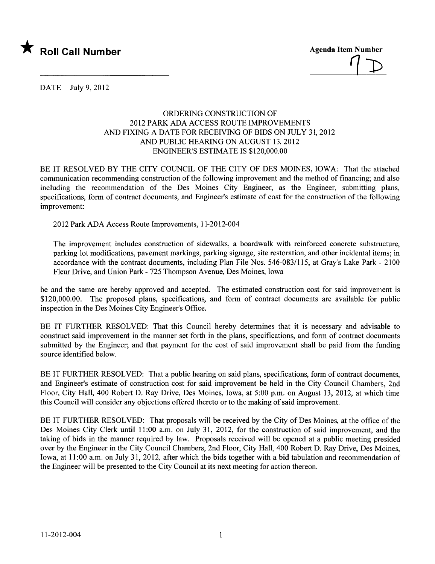

 $\perp$ 

DATE July 9,2012

## ORDERING CONSTRUCTION OF 2012 PARK ADA ACCESS ROUTE IMPROVEMENTS AND FIXING A DATE FOR RECEIVING OF BIDS ON JULY 31, 2012 AND PUBLIC HEARING ON AUGUST 13, 2012 ENGINEER'S ESTIMATE IS \$120,000.00

BE IT RESOLVED BY THE CITY COUNCIL OF THE CITY OF DES MOINES, IOWA: That the attached communication recommending construction of the following improvement and the method of financing; and also including the recommendation of the Des Moines City Engineer, as the Engineer, submitting plans, specifications, form of contract documents, and Engineer's estimate of cost for the construction of the following improvement:

2012 Park ADA Access Route Improvements, 11-2012-004

The improvement includes construction of sidewalks, a boardwalk with reinforced concrete substructure, parking lot modifications, pavement markings, parking signage, site restoration, and other incidental items; in accordance with the contract documents, including Plan File Nos. 546-083/115, at Gray's Lake Park - 2100 Fleur Drive, and Union Park - 725 Thompson Avenue, Des Moines, Iowa

be and the same are hereby approved and accepted. The estimated construction cost for said improvement is \$120,000.00. The proposed plans, specifications, and form of contract documents are available for public inspection in the Des Moines City Engineer's Office.

BE IT FURTHER RESOLVED: That this Council hereby determines that it is necessary and advisable to construct said improvement in the manner set forth in the plans, specifications, and form of contract documents submitted by the Engineer; and that payment for the cost of said improvement shall be paid from the funding source identified below.

BE IT FURTHER RESOLVED: That a public hearing on said plans, specifications, form of contract documents, and Engineer's estimate of construction cost for said improvement be held in the City Council Chambers, 2nd Floor, City Hall, 400 Robert D. Ray Drive, Des Moines, Iowa, at 5:00 p.m. on August 13, 2012, at which time this Council wil consider any objections offered thereto or to the making of said improvement.

BE IT FURTHER RESOLVED: That proposals will be received by the City of Des Moines, at the office of the Des Moines City Clerk until 11:00 a.m. on July 31, 2012, for the construction of said improvement, and the taking of bids in the manner required by law. Proposals received wil be opened at a public meeting presided over by the Engineer in the City Council Chambers, 2nd Floor, City Hall, 400 Robert D. Ray Drive, Des Moines, Iowa, at 11 :00 a.m. on July 31, 2012, after which the bids together with a bid tabulation and recommendation of the Engineer wil be presented to the City Council at its next meeting for action thereon.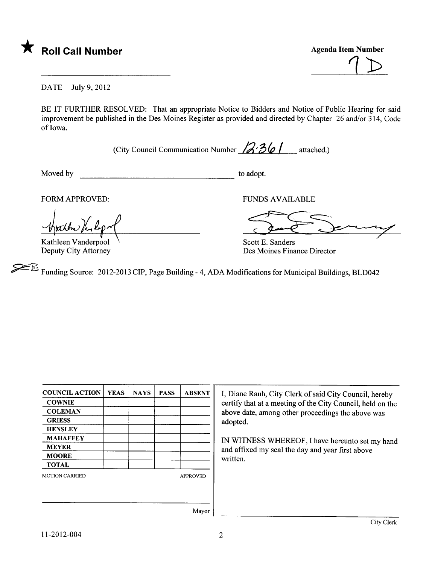

 $\sqrt{2}$ 

DATE July 9,2012

BE IT FURTHER RESOLVED: That an appropriate Notice to Bidders and Notice of Public Hearing for said improvement be published in the Des Moines Register as provided and directed by Chapter 26 and/or 314, Code of Iowa.

(City Council Communication Number  $\sqrt{3}$ ;  $36$  | attached.)

Moved by to adopt.

FORM APPROVED:<br>
where the particular text of the sander of the same of the same of the same of the same of the same of the same of the same of the same of the same of the same of the same of the same of the same of the sam

Kathleen Vanderpool Deputy City Attorney

Scott E. Sanders Des Moines Finance Director

Funding Source: 2012-2013 CIP, Page Building - 4, ADA Modifications for Municipal Buildings, BLD042

| <b>COUNCIL ACTION</b> | <b>YEAS</b> | <b>NAYS</b> | <b>PASS</b> | <b>ABSENT</b>   |
|-----------------------|-------------|-------------|-------------|-----------------|
| <b>COWNIE</b>         |             |             |             |                 |
| <b>COLEMAN</b>        |             |             |             |                 |
| <b>GRIESS</b>         |             |             |             |                 |
| <b>HENSLEY</b>        |             |             |             |                 |
| <b>MAHAFFEY</b>       |             |             |             |                 |
| <b>MEYER</b>          |             |             |             |                 |
| <b>MOORE</b>          |             |             |             |                 |
| <b>TOTAL</b>          |             |             |             |                 |
| <b>MOTION CARRIED</b> |             |             |             | <b>APPROVED</b> |
|                       |             |             |             |                 |
|                       |             |             |             |                 |

Diane Rauh, City Clerk of said City Council, hereby ertify that at a meeting of the City Council, held on the bove date, among other proceedings the above was dopted.

IN WITNESS WHREOF, I have hereunto set my hand and affixed my seal the day and year first above ritten.

Mayor 1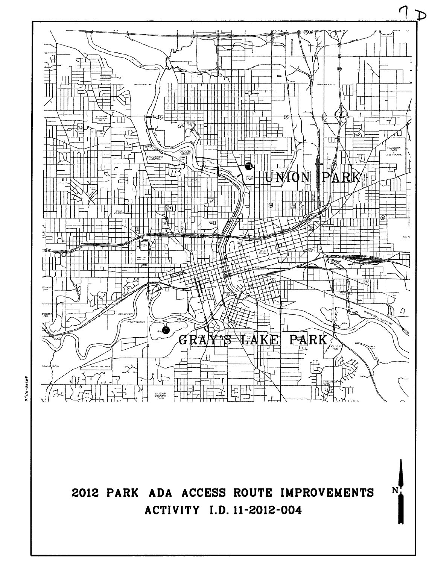

2012 PARK ADA ACCESS ROUTE IMPROVEMENTS **ACTIVITY I.D. 11-2012-004** 

 $N$ 

sfile-date\$